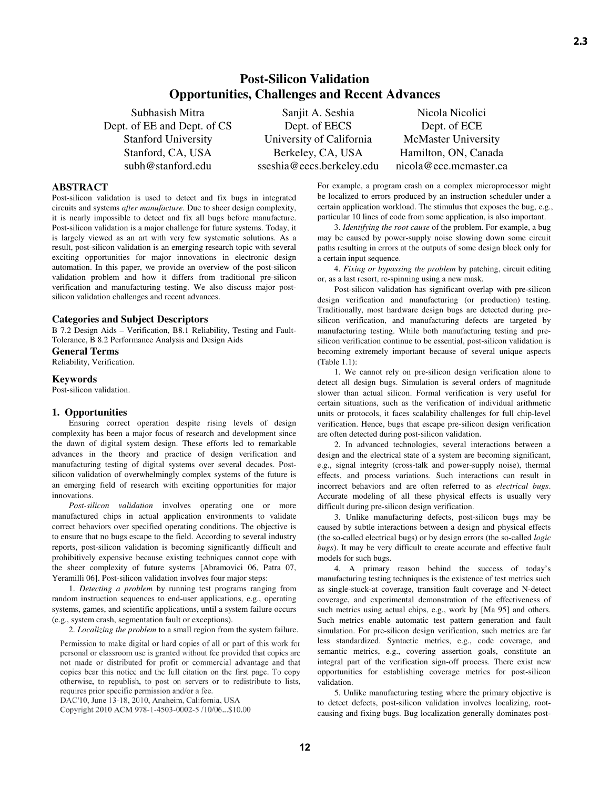# **Post-Silicon Validation Opportunities, Challenges and Recent Advances**

Dept. of EE and Dept. of CS Stanford University Stanford, CA, USA subh@stanford.edu

Subhasish Mitra Sanjit A. Seshia Nicola Nicolici Dept. of EECS University of California Berkeley, CA, USA sseshia@eecs.berkeley.edu

Dept. of ECE McMaster University Hamilton, ON, Canada nicola@ece.mcmaster.ca

# **ABSTRACT**

Post-silicon validation is used to detect and fix bugs in integrated circuits and systems *after manufacture*. Due to sheer design complexity, it is nearly impossible to detect and fix all bugs before manufacture. Post-silicon validation is a major challenge for future systems. Today, it is largely viewed as an art with very few systematic solutions. As a result, post-silicon validation is an emerging research topic with several exciting opportunities for major innovations in electronic design automation. In this paper, we provide an overview of the post-silicon validation problem and how it differs from traditional pre-silicon verification and manufacturing testing. We also discuss major postsilicon validation challenges and recent advances.

#### **Categories and Subject Descriptors**

B 7.2 Design Aids – Verification, B8.1 Reliability, Testing and Fault-Tolerance, B 8.2 Performance Analysis and Design Aids

# **General Terms**

Reliability, Verification.

#### **Keywords**

Post-silicon validation.

# **1. Opportunities**

Ensuring correct operation despite rising levels of design complexity has been a major focus of research and development since the dawn of digital system design. These efforts led to remarkable advances in the theory and practice of design verification and manufacturing testing of digital systems over several decades. Postsilicon validation of overwhelmingly complex systems of the future is an emerging field of research with exciting opportunities for major innovations.

*Post-silicon validation* involves operating one or more manufactured chips in actual application environments to validate correct behaviors over specified operating conditions. The objective is to ensure that no bugs escape to the field. According to several industry reports, post-silicon validation is becoming significantly difficult and prohibitively expensive because existing techniques cannot cope with the sheer complexity of future systems [Abramovici 06, Patra 07, Yeramilli 06]. Post-silicon validation involves four major steps:

1. *Detecting a problem* by running test programs ranging from random instruction sequences to end-user applications, e.g., operating systems, games, and scientific applications, until a system failure occurs (e.g., system crash, segmentation fault or exceptions).

2. *Localizing the problem* to a small region from the system failure.

Permission to make digital or hard copies of all or part of this work for personal or classroom use is granted without fee provided that copies are not made or distributed for profit or commercial advantage and that copies bear this notice and the full citation on the first page. To copy otherwise, to republish, to post on servers or to redistribute to lists, requires prior specific permission and/or a fee.

DAC'10, June 13-18, 2010, Anaheim, California, USA

Copyright 2010 ACM 978-1-4503-0002-5 /10/06...\$10.00

For example, a program crash on a complex microprocessor might be localized to errors produced by an instruction scheduler under a certain application workload. The stimulus that exposes the bug, e.g., particular 10 lines of code from some application, is also important.

3. *Identifying the root cause* of the problem. For example, a bug may be caused by power-supply noise slowing down some circuit paths resulting in errors at the outputs of some design block only for a certain input sequence.

4. *Fixing or bypassing the problem* by patching, circuit editing or, as a last resort, re-spinning using a new mask.

Post-silicon validation has significant overlap with pre-silicon design verification and manufacturing (or production) testing. Traditionally, most hardware design bugs are detected during presilicon verification, and manufacturing defects are targeted by manufacturing testing. While both manufacturing testing and presilicon verification continue to be essential, post-silicon validation is becoming extremely important because of several unique aspects (Table 1.1):

1. We cannot rely on pre-silicon design verification alone to detect all design bugs. Simulation is several orders of magnitude slower than actual silicon. Formal verification is very useful for certain situations, such as the verification of individual arithmetic units or protocols, it faces scalability challenges for full chip-level verification. Hence, bugs that escape pre-silicon design verification are often detected during post-silicon validation.

2. In advanced technologies, several interactions between a design and the electrical state of a system are becoming significant, e.g., signal integrity (cross-talk and power-supply noise), thermal effects, and process variations. Such interactions can result in incorrect behaviors and are often referred to as *electrical bugs*. Accurate modeling of all these physical effects is usually very difficult during pre-silicon design verification.

3. Unlike manufacturing defects, post-silicon bugs may be caused by subtle interactions between a design and physical effects (the so-called electrical bugs) or by design errors (the so-called *logic bugs*). It may be very difficult to create accurate and effective fault models for such bugs.

4. A primary reason behind the success of today's manufacturing testing techniques is the existence of test metrics such as single-stuck-at coverage, transition fault coverage and N-detect coverage, and experimental demonstration of the effectiveness of such metrics using actual chips, e.g., work by [Ma 95] and others. Such metrics enable automatic test pattern generation and fault simulation. For pre-silicon design verification, such metrics are far less standardized. Syntactic metrics, e.g., code coverage, and semantic metrics, e.g., covering assertion goals, constitute an integral part of the verification sign-off process. There exist new opportunities for establishing coverage metrics for post-silicon validation.

5. Unlike manufacturing testing where the primary objective is to detect defects, post-silicon validation involves localizing, rootcausing and fixing bugs. Bug localization generally dominates post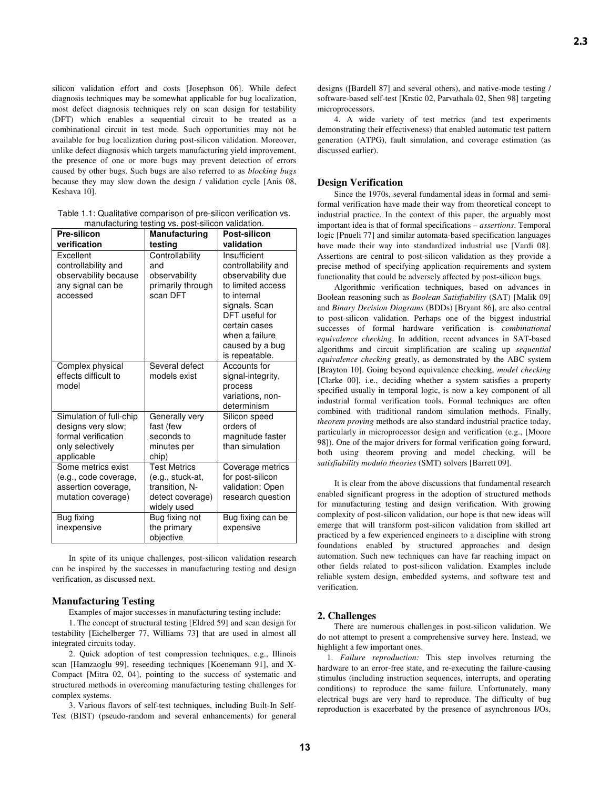silicon validation effort and costs [Josephson 06]. While defect diagnosis techniques may be somewhat applicable for bug localization, most defect diagnosis techniques rely on scan design for testability (DFT) which enables a sequential circuit to be treated as a combinational circuit in test mode. Such opportunities may not be available for bug localization during post-silicon validation. Moreover, unlike defect diagnosis which targets manufacturing yield improvement, the presence of one or more bugs may prevent detection of errors caused by other bugs. Such bugs are also referred to as *blocking bugs* because they may slow down the design / validation cycle [Anis 08, Keshava 10].

| Table 1.1: Qualitative comparison of pre-silicon verification vs. |
|-------------------------------------------------------------------|
| manufacturing testing vs. post-silicon validation.                |

| Pre-silicon                                                                                            | manalaotaling toothig vo. poot ollioon vallaation<br>Manufacturing                           | Post-silicon                                                                                                                                                                                            |
|--------------------------------------------------------------------------------------------------------|----------------------------------------------------------------------------------------------|---------------------------------------------------------------------------------------------------------------------------------------------------------------------------------------------------------|
| verification                                                                                           | testing                                                                                      | validation                                                                                                                                                                                              |
| Excellent<br>controllability and<br>observability because<br>any signal can be<br>accessed             | Controllability<br>and<br>observability<br>primarily through<br>scan DFT                     | Insufficient<br>controllability and<br>observability due<br>to limited access<br>to internal<br>signals. Scan<br>DFT useful for<br>certain cases<br>when a failure<br>caused by a bug<br>is repeatable. |
| Complex physical<br>effects difficult to<br>model                                                      | Several defect<br>models exist                                                               | Accounts for<br>signal-integrity,<br>process<br>variations, non-<br>determinism                                                                                                                         |
| Simulation of full-chip<br>designs very slow;<br>formal verification<br>only selectively<br>applicable | Generally very<br>fast (few<br>seconds to<br>minutes per<br>chip)                            | Silicon speed<br>orders of<br>magnitude faster<br>than simulation                                                                                                                                       |
| Some metrics exist<br>(e.g., code coverage,<br>assertion coverage.<br>mutation coverage)               | <b>Test Metrics</b><br>(e.g., stuck-at,<br>transition, N-<br>detect coverage)<br>widely used | Coverage metrics<br>for post-silicon<br>validation: Open<br>research question                                                                                                                           |
| Bug fixing<br>inexpensive                                                                              | Bug fixing not<br>the primary<br>objective                                                   | Bug fixing can be<br>expensive                                                                                                                                                                          |

In spite of its unique challenges, post-silicon validation research can be inspired by the successes in manufacturing testing and design verification, as discussed next.

# **Manufacturing Testing**

Examples of major successes in manufacturing testing include:

1. The concept of structural testing [Eldred 59] and scan design for testability [Eichelberger 77, Williams 73] that are used in almost all integrated circuits today.

2. Quick adoption of test compression techniques, e.g., Illinois scan [Hamzaoglu 99], reseeding techniques [Koenemann 91], and X-Compact [Mitra 02, 04], pointing to the success of systematic and structured methods in overcoming manufacturing testing challenges for complex systems.

3. Various flavors of self-test techniques, including Built-In Self-Test (BIST) (pseudo-random and several enhancements) for general designs ([Bardell 87] and several others), and native-mode testing / software-based self-test [Krstic 02, Parvathala 02, Shen 98] targeting microprocessors.

4. A wide variety of test metrics (and test experiments demonstrating their effectiveness) that enabled automatic test pattern generation (ATPG), fault simulation, and coverage estimation (as discussed earlier).

#### **Design Verification**

Since the 1970s, several fundamental ideas in formal and semiformal verification have made their way from theoretical concept to industrial practice. In the context of this paper, the arguably most important idea is that of formal specifications – *assertions*. Temporal logic [Pnueli 77] and similar automata-based specification languages have made their way into standardized industrial use [Vardi 08]. Assertions are central to post-silicon validation as they provide a precise method of specifying application requirements and system functionality that could be adversely affected by post-silicon bugs.

Algorithmic verification techniques, based on advances in Boolean reasoning such as *Boolean Satisfiability* (SAT) [Malik 09] and *Binary Decision Diagrams* (BDDs) [Bryant 86], are also central to post-silicon validation. Perhaps one of the biggest industrial successes of formal hardware verification is *combinational equivalence checking*. In addition, recent advances in SAT-based algorithms and circuit simplification are scaling up *sequential equivalence checking* greatly, as demonstrated by the ABC system [Brayton 10]. Going beyond equivalence checking, *model checking*  [Clarke 00], i.e., deciding whether a system satisfies a property specified usually in temporal logic, is now a key component of all industrial formal verification tools. Formal techniques are often combined with traditional random simulation methods. Finally, *theorem proving* methods are also standard industrial practice today, particularly in microprocessor design and verification (e.g., [Moore 98]). One of the major drivers for formal verification going forward, both using theorem proving and model checking, will be *satisfiability modulo theories* (SMT) solvers [Barrett 09].

It is clear from the above discussions that fundamental research enabled significant progress in the adoption of structured methods for manufacturing testing and design verification. With growing complexity of post-silicon validation, our hope is that new ideas will emerge that will transform post-silicon validation from skilled art practiced by a few experienced engineers to a discipline with strong foundations enabled by structured approaches and design automation. Such new techniques can have far reaching impact on other fields related to post-silicon validation. Examples include reliable system design, embedded systems, and software test and verification.

# **2. Challenges**

There are numerous challenges in post-silicon validation. We do not attempt to present a comprehensive survey here. Instead, we highlight a few important ones.

1. *Failure reproduction:* This step involves returning the hardware to an error-free state, and re-executing the failure-causing stimulus (including instruction sequences, interrupts, and operating conditions) to reproduce the same failure. Unfortunately, many electrical bugs are very hard to reproduce. The difficulty of bug reproduction is exacerbated by the presence of asynchronous I/Os,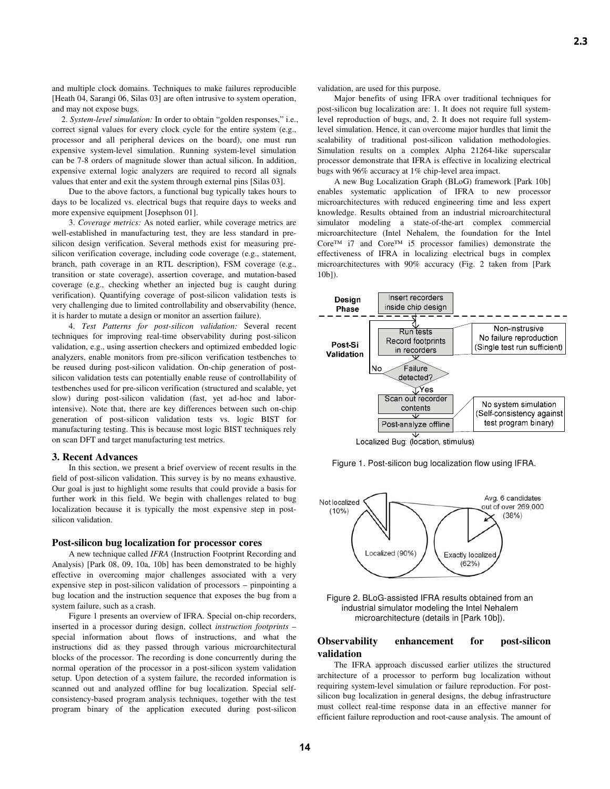and multiple clock domains. Techniques to make failures reproducible [Heath 04, Sarangi 06, Silas 03] are often intrusive to system operation, and may not expose bugs.

2. *System-level simulation:* In order to obtain "golden responses," i.e., correct signal values for every clock cycle for the entire system (e.g., processor and all peripheral devices on the board), one must run expensive system-level simulation. Running system-level simulation can be 7-8 orders of magnitude slower than actual silicon. In addition, expensive external logic analyzers are required to record all signals values that enter and exit the system through external pins [Silas 03].

Due to the above factors, a functional bug typically takes hours to days to be localized vs. electrical bugs that require days to weeks and more expensive equipment [Josephson 01].

3. *Coverage metrics:* As noted earlier, while coverage metrics are well-established in manufacturing test, they are less standard in presilicon design verification. Several methods exist for measuring presilicon verification coverage, including code coverage (e.g., statement, branch, path coverage in an RTL description), FSM coverage (e.g., transition or state coverage), assertion coverage, and mutation-based coverage (e.g., checking whether an injected bug is caught during verification). Quantifying coverage of post-silicon validation tests is very challenging due to limited controllability and observability (hence, it is harder to mutate a design or monitor an assertion failure).

4. *Test Patterns for post-silicon validation:* Several recent techniques for improving real-time observability during post-silicon validation, e.g., using assertion checkers and optimized embedded logic analyzers, enable monitors from pre-silicon verification testbenches to be reused during post-silicon validation. On-chip generation of postsilicon validation tests can potentially enable reuse of controllability of testbenches used for pre-silicon verification (structured and scalable, yet slow) during post-silicon validation (fast, yet ad-hoc and laborintensive). Note that, there are key differences between such on-chip generation of post-silicon validation tests vs. logic BIST for manufacturing testing. This is because most logic BIST techniques rely on scan DFT and target manufacturing test metrics.

#### **3. Recent Advances**

In this section, we present a brief overview of recent results in the field of post-silicon validation. This survey is by no means exhaustive. Our goal is just to highlight some results that could provide a basis for further work in this field. We begin with challenges related to bug localization because it is typically the most expensive step in postsilicon validation.

#### **Post-silicon bug localization for processor cores**

A new technique called *IFRA* (Instruction Footprint Recording and Analysis) [Park 08, 09, 10a, 10b] has been demonstrated to be highly effective in overcoming major challenges associated with a very expensive step in post-silicon validation of processors – pinpointing a bug location and the instruction sequence that exposes the bug from a system failure, such as a crash.

Figure 1 presents an overview of IFRA. Special on-chip recorders, inserted in a processor during design, collect *instruction footprints* – special information about flows of instructions, and what the instructions did as they passed through various microarchitectural blocks of the processor. The recording is done concurrently during the normal operation of the processor in a post-silicon system validation setup. Upon detection of a system failure, the recorded information is scanned out and analyzed offline for bug localization. Special selfconsistency-based program analysis techniques, together with the test program binary of the application executed during post-silicon

validation, are used for this purpose.

Major benefits of using IFRA over traditional techniques for post-silicon bug localization are: 1. It does not require full systemlevel reproduction of bugs, and, 2. It does not require full systemlevel simulation. Hence, it can overcome major hurdles that limit the scalability of traditional post-silicon validation methodologies. Simulation results on a complex Alpha 21264-like superscalar processor demonstrate that IFRA is effective in localizing electrical bugs with 96% accuracy at 1% chip-level area impact.

A new Bug Localization Graph (BLoG) framework [Park 10b] enables systematic application of IFRA to new processor microarchitectures with reduced engineering time and less expert knowledge. Results obtained from an industrial microarchitectural simulator modeling a state-of-the-art complex commercial microarchitecture (Intel Nehalem, the foundation for the Intel Core™ i7 and Core™ i5 processor families) demonstrate the effectiveness of IFRA in localizing electrical bugs in complex microarchitectures with 90% accuracy (Fig. 2 taken from [Park 10b]).









Figure 2. BLoG-assisted IFRA results obtained from an industrial simulator modeling the Intel Nehalem microarchitecture (details in [Park 10b]).

## **Observability enhancement for post-silicon validation**

The IFRA approach discussed earlier utilizes the structured architecture of a processor to perform bug localization without requiring system-level simulation or failure reproduction. For postsilicon bug localization in general designs, the debug infrastructure must collect real-time response data in an effective manner for efficient failure reproduction and root-cause analysis. The amount of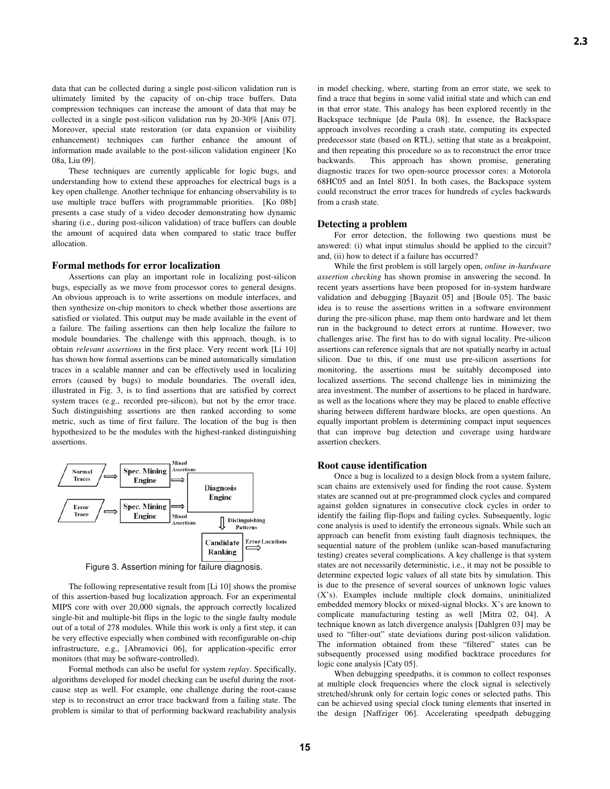data that can be collected during a single post-silicon validation run is ultimately limited by the capacity of on-chip trace buffers. Data compression techniques can increase the amount of data that may be collected in a single post-silicon validation run by 20-30% [Anis 07]. Moreover, special state restoration (or data expansion or visibility enhancement) techniques can further enhance the amount of information made available to the post-silicon validation engineer [Ko 08a, Liu 09].

These techniques are currently applicable for logic bugs, and understanding how to extend these approaches for electrical bugs is a key open challenge. Another technique for enhancing observability is to use multiple trace buffers with programmable priorities. [Ko 08b] presents a case study of a video decoder demonstrating how dynamic sharing (i.e., during post-silicon validation) of trace buffers can double the amount of acquired data when compared to static trace buffer allocation.

#### **Formal methods for error localization**

Assertions can play an important role in localizing post-silicon bugs, especially as we move from processor cores to general designs. An obvious approach is to write assertions on module interfaces, and then synthesize on-chip monitors to check whether those assertions are satisfied or violated. This output may be made available in the event of a failure. The failing assertions can then help localize the failure to module boundaries. The challenge with this approach, though, is to obtain *relevant assertions* in the first place. Very recent work [Li 10] has shown how formal assertions can be mined automatically simulation traces in a scalable manner and can be effectively used in localizing errors (caused by bugs) to module boundaries. The overall idea, illustrated in Fig. 3, is to find assertions that are satisfied by correct system traces (e.g., recorded pre-silicon), but not by the error trace. Such distinguishing assertions are then ranked according to some metric, such as time of first failure. The location of the bug is then hypothesized to be the modules with the highest-ranked distinguishing assertions.



Figure 3. Assertion mining for failure diagnosis.

The following representative result from [Li 10] shows the promise of this assertion-based bug localization approach. For an experimental MIPS core with over 20,000 signals, the approach correctly localized single-bit and multiple-bit flips in the logic to the single faulty module out of a total of 278 modules. While this work is only a first step, it can be very effective especially when combined with reconfigurable on-chip infrastructure, e.g., [Abramovici 06], for application-specific error monitors (that may be software-controlled).

Formal methods can also be useful for system *replay*. Specifically, algorithms developed for model checking can be useful during the rootcause step as well. For example, one challenge during the root-cause step is to reconstruct an error trace backward from a failing state. The problem is similar to that of performing backward reachability analysis in model checking, where, starting from an error state, we seek to find a trace that begins in some valid initial state and which can end in that error state. This analogy has been explored recently in the Backspace technique [de Paula 08]. In essence, the Backspace approach involves recording a crash state, computing its expected predecessor state (based on RTL), setting that state as a breakpoint, and then repeating this procedure so as to reconstruct the error trace backwards. This approach has shown promise, generating diagnostic traces for two open-source processor cores: a Motorola 68HC05 and an Intel 8051. In both cases, the Backspace system could reconstruct the error traces for hundreds of cycles backwards from a crash state.

# **Detecting a problem**

For error detection, the following two questions must be answered: (i) what input stimulus should be applied to the circuit? and, (ii) how to detect if a failure has occurred?

While the first problem is still largely open, *online in-hardware assertion checking* has shown promise in answering the second. In recent years assertions have been proposed for in-system hardware validation and debugging [Bayazit 05] and [Boule 05]. The basic idea is to reuse the assertions written in a software environment during the pre-silicon phase, map them onto hardware and let them run in the background to detect errors at runtime. However, two challenges arise. The first has to do with signal locality. Pre-silicon assertions can reference signals that are not spatially nearby in actual silicon. Due to this, if one must use pre-silicon assertions for monitoring, the assertions must be suitably decomposed into localized assertions. The second challenge lies in minimizing the area investment. The number of assertions to be placed in hardware, as well as the locations where they may be placed to enable effective sharing between different hardware blocks, are open questions. An equally important problem is determining compact input sequences that can improve bug detection and coverage using hardware assertion checkers.

# **Root cause identification**

Once a bug is localized to a design block from a system failure, scan chains are extensively used for finding the root cause. System states are scanned out at pre-programmed clock cycles and compared against golden signatures in consecutive clock cycles in order to identify the failing flip-flops and failing cycles. Subsequently, logic cone analysis is used to identify the erroneous signals. While such an approach can benefit from existing fault diagnosis techniques, the sequential nature of the problem (unlike scan-based manufacturing testing) creates several complications. A key challenge is that system states are not necessarily deterministic, i.e., it may not be possible to determine expected logic values of all state bits by simulation. This is due to the presence of several sources of unknown logic values (X's). Examples include multiple clock domains, uninitialized embedded memory blocks or mixed-signal blocks. X's are known to complicate manufacturing testing as well [Mitra 02, 04]. A technique known as latch divergence analysis [Dahlgren 03] may be used to "filter-out" state deviations during post-silicon validation. The information obtained from these "filtered" states can be subsequently processed using modified backtrace procedures for logic cone analysis [Caty 05].

When debugging speedpaths, it is common to collect responses at multiple clock frequencies where the clock signal is selectively stretched/shrunk only for certain logic cones or selected paths. This can be achieved using special clock tuning elements that inserted in the design [Naffziger 06]. Accelerating speedpath debugging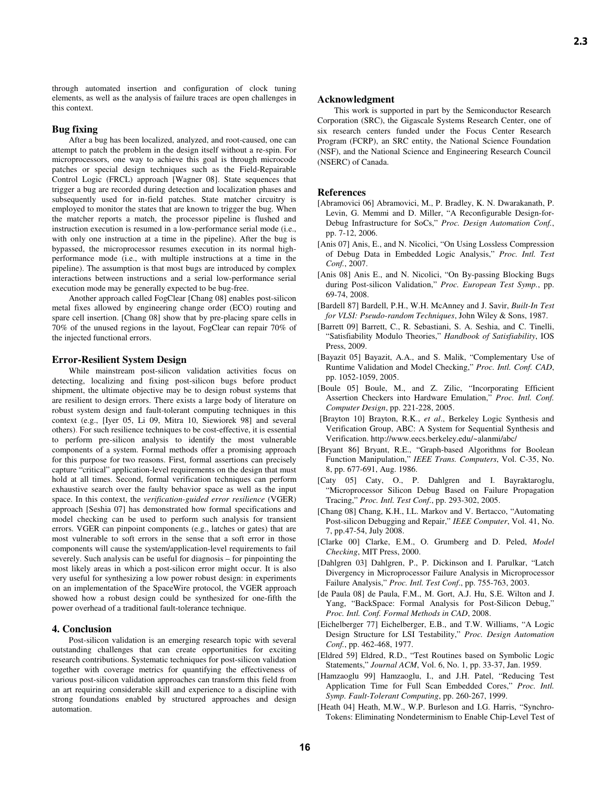through automated insertion and configuration of clock tuning elements, as well as the analysis of failure traces are open challenges in this context.

**Bug fixing**<br>After a bug has been localized, analyzed, and root-caused, one can attempt to patch the problem in the design itself without a re-spin. For microprocessors, one way to achieve this goal is through microcode patches or special design techniques such as the Field-Repairable Control Logic (FRCL) approach [Wagner 08]. State sequences that trigger a bug are recorded during detection and localization phases and subsequently used for in-field patches. State matcher circuitry is employed to monitor the states that are known to trigger the bug. When the matcher reports a match, the processor pipeline is flushed and instruction execution is resumed in a low-performance serial mode (i.e., with only one instruction at a time in the pipeline). After the bug is bypassed, the microprocessor resumes execution in its normal highperformance mode (i.e., with multiple instructions at a time in the pipeline). The assumption is that most bugs are introduced by complex interactions between instructions and a serial low-performance serial execution mode may be generally expected to be bug-free.

Another approach called FogClear [Chang 08] enables post-silicon metal fixes allowed by engineering change order (ECO) routing and spare cell insertion. [Chang 08] show that by pre-placing spare cells in 70% of the unused regions in the layout, FogClear can repair 70% of the injected functional errors.

#### **Error-Resilient System Design**

While mainstream post-silicon validation activities focus on detecting, localizing and fixing post-silicon bugs before product shipment, the ultimate objective may be to design robust systems that are resilient to design errors. There exists a large body of literature on robust system design and fault-tolerant computing techniques in this context (e.g., [Iyer 05, Li 09, Mitra 10, Siewiorek 98] and several others). For such resilience techniques to be cost-effective, it is essential to perform pre-silicon analysis to identify the most vulnerable components of a system. Formal methods offer a promising approach for this purpose for two reasons. First, formal assertions can precisely capture "critical" application-level requirements on the design that must hold at all times. Second, formal verification techniques can perform exhaustive search over the faulty behavior space as well as the input space. In this context, the *verification-guided error resilience* (VGER) approach [Seshia 07] has demonstrated how formal specifications and model checking can be used to perform such analysis for transient errors. VGER can pinpoint components (e.g., latches or gates) that are most vulnerable to soft errors in the sense that a soft error in those components will cause the system/application-level requirements to fail severely. Such analysis can be useful for diagnosis – for pinpointing the most likely areas in which a post-silicon error might occur. It is also very useful for synthesizing a low power robust design: in experiments on an implementation of the SpaceWire protocol, the VGER approach showed how a robust design could be synthesized for one-fifth the power overhead of a traditional fault-tolerance technique.

# **4. Conclusion**

Post-silicon validation is an emerging research topic with several outstanding challenges that can create opportunities for exciting research contributions. Systematic techniques for post-silicon validation together with coverage metrics for quantifying the effectiveness of various post-silicon validation approaches can transform this field from an art requiring considerable skill and experience to a discipline with strong foundations enabled by structured approaches and design automation.

# **2.3**

#### **Acknowledgment**

This work is supported in part by the Semiconductor Research Corporation (SRC), the Gigascale Systems Research Center, one of six research centers funded under the Focus Center Research Program (FCRP), an SRC entity, the National Science Foundation (NSF), and the National Science and Engineering Research Council (NSERC) of Canada.

#### **References**

- [Abramovici 06] Abramovici, M., P. Bradley, K. N. Dwarakanath, P. Levin, G. Memmi and D. Miller, "A Reconfigurable Design-for-Debug Infrastructure for SoCs," *Proc. Design Automation Conf.*, pp. 7-12, 2006.
- [Anis 07] Anis, E., and N. Nicolici, "On Using Lossless Compression of Debug Data in Embedded Logic Analysis," *Proc. Intl. Test Conf.*, 2007.
- [Anis 08] Anis E., and N. Nicolici, "On By-passing Blocking Bugs during Post-silicon Validation," *Proc. European Test Symp.*, pp. 69-74, 2008.
- [Bardell 87] Bardell, P.H., W.H. McAnney and J. Savir, *Built-In Test for VLSI: Pseudo-random Techniques*, John Wiley & Sons, 1987.
- [Barrett 09] Barrett, C., R. Sebastiani, S. A. Seshia, and C. Tinelli, "Satisfiability Modulo Theories," *Handbook of Satisfiability*, IOS Press, 2009.
- [Bayazit 05] Bayazit, A.A., and S. Malik, "Complementary Use of Runtime Validation and Model Checking," *Proc. Intl. Conf. CAD*, pp. 1052-1059, 2005.
- [Boule 05] Boule, M., and Z. Zilic, "Incorporating Efficient Assertion Checkers into Hardware Emulation," *Proc. Intl. Conf. Computer Design*, pp. 221-228, 2005.
- [Brayton 10] Brayton, R.K., *et al*., Berkeley Logic Synthesis and Verification Group, ABC: A System for Sequential Synthesis and Verification. http://www.eecs.berkeley.edu/~alanmi/abc/
- [Bryant 86] Bryant, R.E., "Graph-based Algorithms for Boolean Function Manipulation," *IEEE Trans. Computers*, Vol. C-35, No. 8, pp. 677-691, Aug. 1986.
- [Caty 05] Caty, O., P. Dahlgren and I. Bayraktaroglu, "Microprocessor Silicon Debug Based on Failure Propagation Tracing," *Proc. Intl. Test Conf*., pp. 293-302, 2005.
- [Chang 08] Chang, K.H., I.L. Markov and V. Bertacco, "Automating Post-silicon Debugging and Repair," *IEEE Computer*, Vol. 41, No. 7, pp.47-54, July 2008.
- [Clarke 00] Clarke, E.M., O. Grumberg and D. Peled, *Model Checking*, MIT Press, 2000.
- [Dahlgren 03] Dahlgren, P., P. Dickinson and I. Parulkar, "Latch Divergency in Microprocessor Failure Analysis in Microprocessor Failure Analysis," *Proc. Intl. Test Conf*., pp. 755-763, 2003.
- [de Paula 08] de Paula, F.M., M. Gort, A.J. Hu, S.E. Wilton and J. Yang, "BackSpace: Formal Analysis for Post-Silicon Debug," *Proc. Intl. Conf. Formal Methods in CAD*, 2008.
- [Eichelberger 77] Eichelberger, E.B., and T.W. Williams, "A Logic Design Structure for LSI Testability," *Proc. Design Automation Conf.*, pp. 462-468, 1977.
- [Eldred 59] Eldred, R.D., "Test Routines based on Symbolic Logic Statements," *Journal ACM*, Vol. 6, No. 1, pp. 33-37, Jan. 1959.
- [Hamzaoglu 99] Hamzaoglu, I., and J.H. Patel, "Reducing Test Application Time for Full Scan Embedded Cores," *Proc. Intl. Symp. Fault-Tolerant Computing*, pp. 260-267, 1999.
- [Heath 04] Heath, M.W., W.P. Burleson and I.G. Harris, "Synchro-Tokens: Eliminating Nondeterminism to Enable Chip-Level Test of